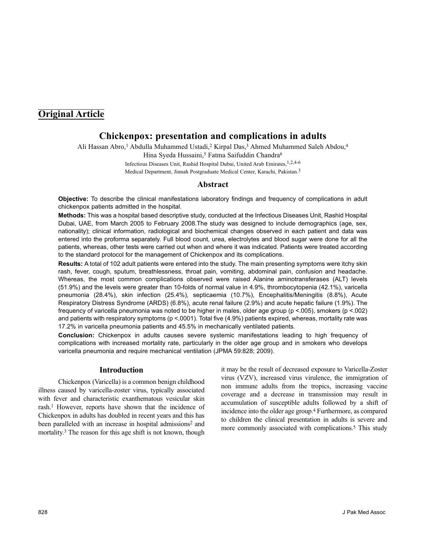# **Original Article**

# **Chickenpox: presentation and complications in adults**

Ali Hassan Abro,<sup>1</sup> Abdulla Muhammed Ustadi,<sup>2</sup> Kirpal Das,<sup>3</sup> Ahmed Muhammed Saleh Abdou,<sup>4</sup>

Hina Syeda Hussaini,<sup>5</sup> Fatma Saifuddin Chandra<sup>6</sup>

Infectious Diseases Unit, Rashid Hospital Dubai, United Arab Emirates,1,2,4-6 Medical Department, Jinnah Postgraduate Medical Center, Karachi, Pakistan.3

# **Abstract**

**Objective:** To describe the clinical manifestations laboratory findings and frequency of complications in adult chickenpox patients admitted in the hospital.

**Methods:** This was a hospital based descriptive study, conducted at the Infectious Diseases Unit, Rashid Hospital Dubai, UAE, from March 2005 to February 2008.The study was designed to include demographics (age, sex, nationality); clinical information, radiological and biochemical changes observed in each patient and data was entered into the proforma separately. Full blood count, urea, electrolytes and blood sugar were done for all the patients, whereas, other tests were carried out when and where it was indicated. Patients were treated according to the standard protocol for the management of Chickenpox and its complications.

**Results:** A total of 102 adult patients were entered into the study. The main presenting symptoms were itchy skin rash, fever, cough, sputum, breathlessness, throat pain, vomiting, abdominal pain, confusion and headache. Whereas, the most common complications observed were raised Alanine aminotransferases (ALT) levels (51.9%) and the levels were greater than 10-folds of normal value in 4.9%, thrombocytopenia (42.1%), varicella pneumonia (28.4%), skin infection (25.4%), septicaemia (10.7%), Encephalitis/Meningitis (8.8%), Acute Respiratory Distress Syndrome (ARDS) (6.8%), acute renal failure (2.9%) and acute hepatic failure (1.9%). The frequency of varicella pneumonia was noted to be higher in males, older age group (p <.005), smokers (p <.002) and patients with respiratory symptoms (p <.0001). Total five (4.9%) patients expired, whereas, mortality rate was 17.2% in varicella pneumonia patients and 45.5% in mechanically ventilated patients.

**Conclusion:** Chickenpox in adults causes severe systemic manifestations leading to high frequency of complications with increased mortality rate, particularly in the older age group and in smokers who develops varicella pneumonia and require mechanical ventilation (JPMA 59:828; 2009).

# **Introduction**

Chickenpox (Varicella) is a common benign childhood illness caused by varicella-zoster virus, typically associated with fever and characteristic exanthematous vesicular skin rash.<sup>1</sup> However, reports have shown that the incidence of Chickenpox in adults has doubled in recent years and this has been paralleled with an increase in hospital admissions<sup>2</sup> and mortality.<sup>3</sup> The reason for this age shift is not known, though

it may be the result of decreased exposure to Varicella-Zoster virus (VZV), increased virus virulence, the immigration of non immune adults from the tropics, increasing vaccine coverage and a decrease in transmission may result in accumulation of susceptible adults followed by a shift of incidence into the older age group.<sup>4</sup> Furthermore, as compared to children the clinical presentation in adults is severe and more commonly associated with complications.<sup>5</sup> This study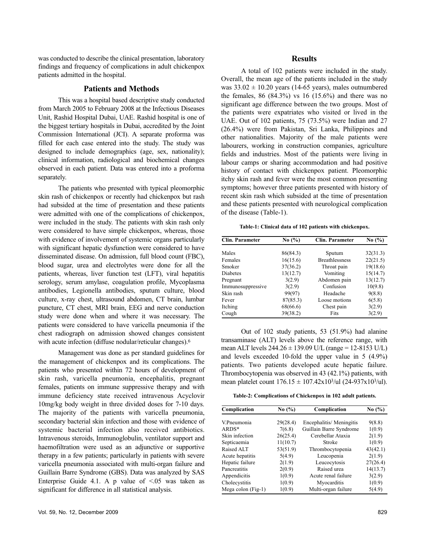was conducted to describe the clinical presentation, laboratory findings and frequency of complications in adult chickenpox patients admitted in the hospital.

#### **Patients and Methods**

This was a hospital based descriptive study conducted from March 2005 to February 2008 at the Infectious Diseases Unit, Rashid Hospital Dubai, UAE. Rashid hospital is one of the biggest tertiary hospitals in Dubai, accredited by the Joint Commission International (JCI). A separate proforma was filled for each case entered into the study. The study was designed to include demographics (age, sex, nationality); clinical information, radiological and biochemical changes observed in each patient. Data was entered into a proforma separately.

The patients who presented with typical pleomorphic skin rash of chickenpox or recently had chickenpox but rash had subsided at the time of presentation and these patients were admitted with one of the complications of chickenpox, were included in the study. The patients with skin rash only were considered to have simple chickenpox, whereas, those with evidence of involvement of systemic organs particularly with significant hepatic dysfunction were considered to have disseminated disease. On admission, full blood count (FBC), blood sugar, urea and electrolytes were done for all the patients, whereas, liver function test (LFT), viral hepatitis serology, serum amylase, coagulation profile, Mycoplasma antibodies, Legionella antibodies, sputum culture, blood culture, x-ray chest, ultrasound abdomen, CT brain, lumbar puncture, CT chest, MRI brain, EEG and nerve conduction study were done when and where it was necessary. The patients were considered to have varicella pneumonia if the chest radiograph on admission showed changes consistent with acute infection (diffuse nodular/reticular changes).<sup>6</sup>

Management was done as per standard guidelines for the management of chickenpox and its complications. The patients who presented within 72 hours of development of skin rash, varicella pneumonia, encephalitis, pregnant females, patients on immune suppressive therapy and with immune deficiency state received intravenous Acyclovir 10mg/kg body weight in three divided doses for 7-10 days. The majority of the patients with varicella pneumonia, secondary bacterial skin infection and those with evidence of systemic bacterial infection also received antibiotics. Intravenous steroids, Immunoglobulin, ventilator support and haemofiltration were used as an adjunctive or supportive therapy in a few patients; particularly in patients with severe varicella pneumonia associated with multi-organ failure and Guillain Barre Syndrome (GBS). Data was analyzed by SAS Enterprise Guide 4.1. A p value of  $\leq 0.05$  was taken as significant for difference in all statistical analysis.

#### **Results**

A total of 102 patients were included in the study. Overall, the mean age of the patients included in the study was  $33.02 \pm 10.20$  years (14-65 years), males outnumbered the females, 86  $(84.3\%)$  vs 16  $(15.6\%)$  and there was no significant age difference between the two groups. Most of the patients were expatriates who visited or lived in the UAE. Out of 102 patients, 75 (73.5%) were Indian and 27 (26.4%) were from Pakistan, Sri Lanka, Philippines and other nationalities. Majority of the male patients were labourers, working in construction companies, agriculture fields and industries. Most of the patients were living in labour camps or sharing accommodation and had positive history of contact with chickenpox patient. Pleomorphic itchy skin rash and fever were the most common presenting symptoms; however three patients presented with history of recent skin rash which subsided at the time of presentation and these patients presented with neurological complication of the disease (Table-1).

**Table-1: Clinical data of 102 patients with chickenpox.**

| Clin. Parameter   | No $\left(\frac{9}{6}\right)$ | Clin. Parameter       | No $(\% )$ |
|-------------------|-------------------------------|-----------------------|------------|
|                   |                               |                       |            |
| Males             | 86(84.3)                      | Sputum                | 32(31.3)   |
| Females           | 16(15.6)                      | <b>Breathlessness</b> | 22(21.5)   |
| Smoker            | 37(36.2)                      | Throat pain           | 19(18.6)   |
| <b>Diabetes</b>   | 13(12.7)                      | Vomiting              | 15(14.7)   |
| Pregnant          | 3(2.9)                        | Abdomen pain          | 13(12.7)   |
| Immunosuppressive | 3(2.9)                        | Confusion             | 10(9.8)    |
| Skin rash         | 99(97)                        | Headache              | 9(8.8)     |
| Fever             | 87(85.3)                      | Loose motions         | 6(5.8)     |
| Itching           | 68(66.6)                      | Chest pain            | 3(2.9)     |
| Cough             | 39(38.2)                      | Fits                  | 3(2.9)     |

Out of 102 study patients, 53 (51.9%) had alanine transaminase (ALT) levels above the reference range, with mean ALT levels  $244.26 \pm 139.09$  U/L (range = 12-8153 U/L) and levels exceeded 10-fold the upper value in 5 (4.9%) patients. Two patients developed acute hepatic failure. Thrombocytopenia was observed in 43 (42.1%) patients, with mean platelet count  $176.15 \pm 107.42 \times 10^{3}$ /ul (24-937x10<sup>3</sup>/ul).

**Table-2: Complications of Chickenpox in 102 adult patients.**

| Complication       | No $\left(\frac{9}{6}\right)$ | Complication             | No $\left(\frac{9}{6}\right)$ |
|--------------------|-------------------------------|--------------------------|-------------------------------|
| V.Pneumonia        | 29(28.4)                      | Encephalitis/ Meningitis | 9(8.8)                        |
| $ARDS*$            | 7(6.8)                        | Guillain Barre Syndrome  | 1(0.9)                        |
| Skin infection     | 26(25.4)                      | Cerebellar Ataxia        | 2(1.9)                        |
| Septicaemia        | 11(10.7)                      | Stroke                   | 1(0.9)                        |
| Raised ALT         | 53(51.9)                      | Thrombocytopenia         | 43(42.1)                      |
| Acute hepatitis    | 5(4.9)                        | Leucopenia               | 2(1.9)                        |
| Hepatic failure    | 2(1.9)                        | Leucocytosis             | 27(26.4)                      |
| Pancreatitis       | 2(0.9)                        | Raised urea              | 14(13.7)                      |
| Appendicitis       | 1(0.9)                        | Acute renal failure      | 3(2.9)                        |
| Cholecystitis      | 1(0.9)                        | Myocarditis              | 1(0.9)                        |
| Mega colon (Fig-1) | 1(0.9)                        | Multi-organ failure      | 5(4.9)                        |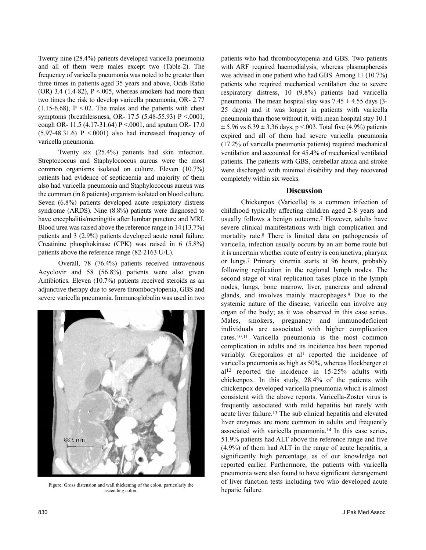Twenty nine (28.4%) patients developed varicella pneumonia and all of them were males except two (Table-2). The frequency of varicella pneumonia was noted to be greater than three times in patients aged 35 years and above, Odds Ratio  $(OR)$  3.4 (1.4-82), P <.005, whereas smokers had more than two times the risk to develop varicella pneumonia, OR- 2.77  $(1.15-6.68)$ , P < 02. The males and the patients with chest symptoms (breathlessness, OR- 17.5 (5.48-55.93) P <.0001, cough OR- 11.5 (4.17-31.64) P <.0001, and sputum OR- 17.0  $(5.97-48.31.6)$  P <.0001) also had increased frequency of varicella pneumonia.

Twenty six (25.4%) patients had skin infection. Streptococcus and Staphylococcus aureus were the most common organisms isolated on culture. Eleven (10.7%) patients had evidence of septicaemia and majority of them also had varicella pneumonia and Staphylococcus aureus was the common (in 8 patients) organism isolated on blood culture. Seven (6.8%) patients developed acute respiratory distress syndrome (ARDS). Nine (8.8%) patients were diagnosed to have encephalitis/meningitis after lumbar puncture and MRI. Blood urea was raised above the reference range in 14 (13.7%) patients and 3 (2.9%) patients developed acute renal failure. Creatinine phosphokinase (CPK) was raised in 6 (5.8%) patients above the reference range (82-2163 U/L).

Overall, 78 (76.4%) patients received intravenous Acyclovir and 58 (56.8%) patients were also given Antibiotics. Eleven (10.7%) patients received steroids as an adjunctive therapy due to severe thrombocytopenia, GBS and severe varicella pneumonia. Immunoglobulin was used in two



Figure: Gross distension and wall thickening of the colon, particularly the ascending colon.

patients who had thrombocytopenia and GBS. Two patients with ARF required haemodialysis, whereas plasmapheresis was advised in one patient who had GBS. Among 11 (10.7%) patients who required mechanical ventilation due to severe respiratory distress, 10 (9.8%) patients had varicella pneumonia. The mean hospital stay was  $7.45 \pm 4.55$  days (3-25 days) and it was longer in patients with varicella pneumonia than those without it, with mean hospital stay 10.1  $\pm$  5.96 vs 6.39  $\pm$  3.36 days, p <.003. Total five (4.9%) patients expired and all of them had severe varicella pneumonia (17.2% of varicella pneumonia patients) required mechanical ventilation and accounted for 45.4% of mechanical ventilated patients. The patients with GBS, cerebellar ataxia and stroke were discharged with minimal disability and they recovered completely within six weeks.

### **Discussion**

Chickenpox (Varicella) is a common infection of childhood typically affecting children aged 2-8 years and usually follows a benign outcome.<sup>7</sup> However, adults have severe clinical manifestations with high complication and mortality rate.<sup>8</sup> There is limited data on pathogenesis of varicella, infection usually occurs by an air borne route but it is uncertain whether route of entry is conjunctiva, pharynx or lungs.<sup>7</sup> Primary viremia starts at 96 hours, probably following replication in the regional lymph nodes. The second stage of viral replication takes place in the lymph nodes, lungs, bone marrow, liver, pancreas and adrenal glands, and involves mainly macrophages.<sup>9</sup> Due to the systemic nature of the disease, varicella can involve any organ of the body; as it was observed in this case series. Males, smokers, pregnancy and immunodeficient individuals are associated with higher complication rates.10,11 Varicella pneumonia is the most common complication in adults and its incidence has been reported variably. Gregorakos et all reported the incidence of varicella pneumonia as high as 50%, whereas Hockberger et al<sup>12</sup> reported the incidence in 15-25% adults with chickenpox. In this study, 28.4% of the patients with chickenpox developed varicella pneumonia which is almost consistent with the above reports. Varicella-Zoster virus is frequently associated with mild hepatitis but rarely with acute liver failure.<sup>13</sup> The sub clinical hepatitis and elevated liver enzymes are more common in adults and frequently associated with varicella pneumonia.<sup>14</sup> In this case series, 51.9% patients had ALT above the reference range and five (4.9%) of them had ALT in the range of acute hepatitis, a significantly high percentage, as of our knowledge not reported earlier. Furthermore, the patients with varicella pneumonia were also found to have significant derangement of liver function tests including two who developed acute hepatic failure.